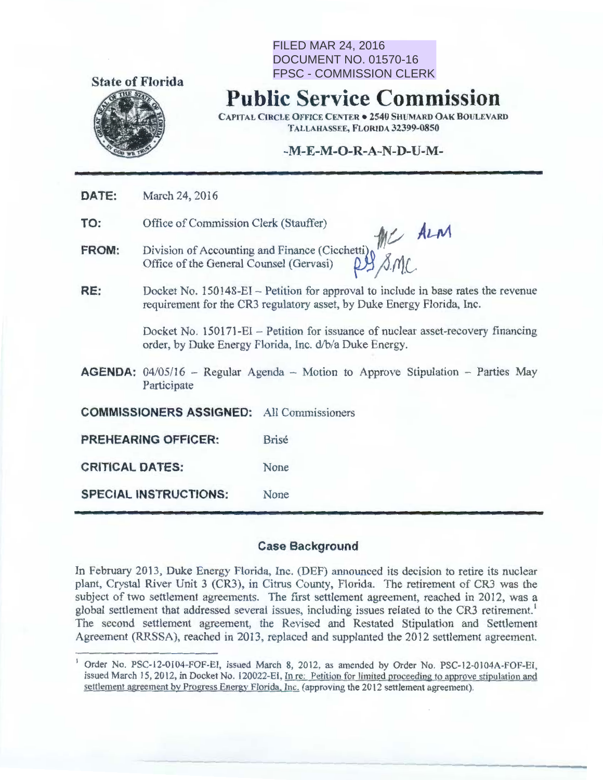

# FILED MAR 24, 2016 DOCUMENT NO. 01570-16 FPSC - COMMISSION CLERK

# **Public Service Commission**

CAPITAL CIRCLE OFFICE CENTER • 2540 SHUMARD OAK BOULEVARD TALLAHASSEE, FLORIDA 32399-0850

# -M-E-**M -0-R-A-N-D-U-M-**

**DATE:**  March 24, 2016

**TO:**  Office of Commission Clerk (Stauffer) *ALCOMENTER* 

- **FROM:**  Division of Accounting and Finance (Cicchetti)  $\int_{\gamma}^{N/\gamma}$ Office of the General Counsel (Gervasi)  $\beta$ /  $\beta$ / $\beta$ .
- **RE:**  Docket No. 150148-EI- Petition for approval to include in base rates the revenue requirement for the CR3 regulatory asset, by Duke Energy Florida, Inc.

Docket No. 150171-EI - Petition for issuance of nuclear asset-recovery financing order, by Duke Energy Florida, Inc. d/b/a Duke Energy.

**AGENDA:** 04/05/16 – Regular Agenda – Motion to Approve Stipulation – Parties May Participate

**COMMISSIONERS ASSIGNED:** All Commissioners

**PREHEARING OFFICER:** Brisé

**CRITICAL DATES:** None

**SPECIAL INSTRUCTIONS:** None

### **Case Background**

In February 2013, Duke Energy Florida, Inc. (DEF) announced its decision to retire its nuclear plant, Crystal River Unit 3 (CR3), in Citrus County, Florida. The retirement of CR3 was the subject of two settlement agreements. The first settlement agreement, reached in 2012, was a global settlement that addressed several issues, including issues related to the CR3 retirement.<sup>1</sup> The second settlement agreement, the Revised and Restated Stipulation and Settlement Agreement (RRSSA), reached in 2013, replaced and supplanted the 2012 settlement agreement.

Order No. PSC-12-0104-FOF-EI, issued March 8, 2012, as amended by Order No. PSC-12-0104A-FOF-EI, issued March 15, 2012, in Docket No. 120022-El, In re: Petition for limited proceeding to approve stipulation and settlement agreement by Progress Energy Florida, Inc. (approving the 2012 settlement agreement).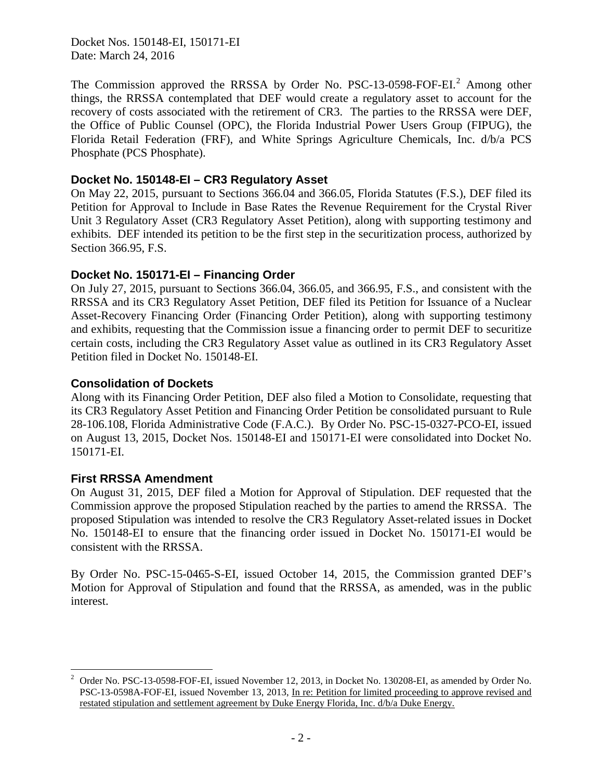Docket Nos. 150148-EI, 150171-EI Date: March 24, 2016

The Commission approved the RRSSA by Order No. PSC-13-0598-FOF-EI.<sup>2</sup> Among other things, the RRSSA contemplated that DEF would create a regulatory asset to account for the recovery of costs associated with the retirement of CR3. The parties to the RRSSA were DEF, the Office of Public Counsel (OPC), the Florida Industrial Power Users Group (FIPUG), the Florida Retail Federation (FRF), and White Springs Agriculture Chemicals, Inc. d/b/a PCS Phosphate (PCS Phosphate).

### **Docket No. 150148-EI – CR3 Regulatory Asset**

On May 22, 2015, pursuant to Sections 366.04 and 366.05, Florida Statutes (F.S.), DEF filed its Petition for Approval to Include in Base Rates the Revenue Requirement for the Crystal River Unit 3 Regulatory Asset (CR3 Regulatory Asset Petition), along with supporting testimony and exhibits. DEF intended its petition to be the first step in the securitization process, authorized by Section 366.95, F.S.

### **Docket No. 150171-EI – Financing Order**

On July 27, 2015, pursuant to Sections 366.04, 366.05, and 366.95, F.S., and consistent with the RRSSA and its CR3 Regulatory Asset Petition, DEF filed its Petition for Issuance of a Nuclear Asset-Recovery Financing Order (Financing Order Petition), along with supporting testimony and exhibits, requesting that the Commission issue a financing order to permit DEF to securitize certain costs, including the CR3 Regulatory Asset value as outlined in its CR3 Regulatory Asset Petition filed in Docket No. 150148-EI.

### **Consolidation of Dockets**

Along with its Financing Order Petition, DEF also filed a Motion to Consolidate, requesting that its CR3 Regulatory Asset Petition and Financing Order Petition be consolidated pursuant to Rule 28-106.108, Florida Administrative Code (F.A.C.). By Order No. PSC-15-0327-PCO-EI, issued on August 13, 2015, Docket Nos. 150148-EI and 150171-EI were consolidated into Docket No. 150171-EI.

### **First RRSSA Amendment**

On August 31, 2015, DEF filed a Motion for Approval of Stipulation. DEF requested that the Commission approve the proposed Stipulation reached by the parties to amend the RRSSA. The proposed Stipulation was intended to resolve the CR3 Regulatory Asset-related issues in Docket No. 150148-EI to ensure that the financing order issued in Docket No. 150171-EI would be consistent with the RRSSA.

By Order No. PSC-15-0465-S-EI, issued October 14, 2015, the Commission granted DEF's Motion for Approval of Stipulation and found that the RRSSA, as amended, was in the public interest.

 $\frac{1}{2}$  Order No. PSC-13-0598-FOF-EI, issued November 12, 2013, in Docket No. 130208-EI, as amended by Order No. PSC-13-0598A-FOF-EI, issued November 13, 2013, In re: Petition for limited proceeding to approve revised and restated stipulation and settlement agreement by Duke Energy Florida, Inc. d/b/a Duke Energy.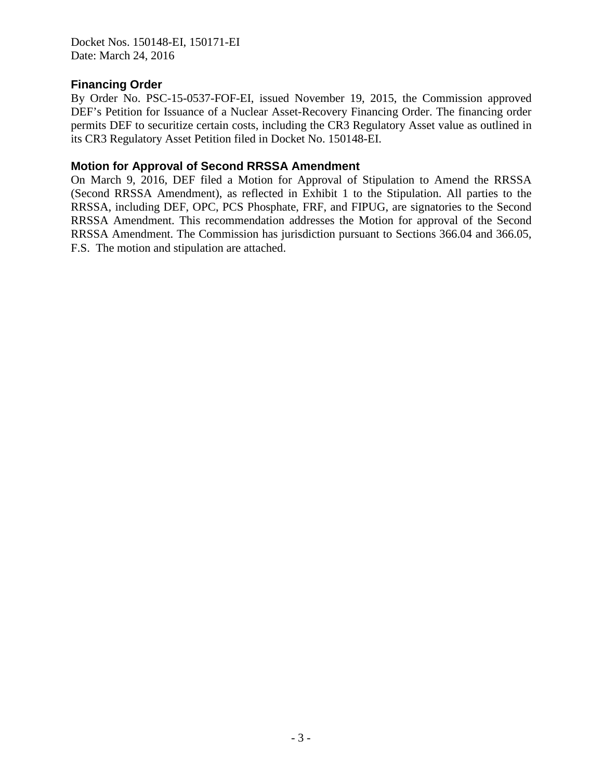Docket Nos. 150148-EI, 150171-EI Date: March 24, 2016

### **Financing Order**

By Order No. PSC-15-0537-FOF-EI, issued November 19, 2015, the Commission approved DEF's Petition for Issuance of a Nuclear Asset-Recovery Financing Order. The financing order permits DEF to securitize certain costs, including the CR3 Regulatory Asset value as outlined in its CR3 Regulatory Asset Petition filed in Docket No. 150148-EI.

### **Motion for Approval of Second RRSSA Amendment**

On March 9, 2016, DEF filed a Motion for Approval of Stipulation to Amend the RRSSA (Second RRSSA Amendment), as reflected in Exhibit 1 to the Stipulation. All parties to the RRSSA, including DEF, OPC, PCS Phosphate, FRF, and FIPUG, are signatories to the Second RRSSA Amendment. This recommendation addresses the Motion for approval of the Second RRSSA Amendment. The Commission has jurisdiction pursuant to Sections 366.04 and 366.05, F.S. The motion and stipulation are attached.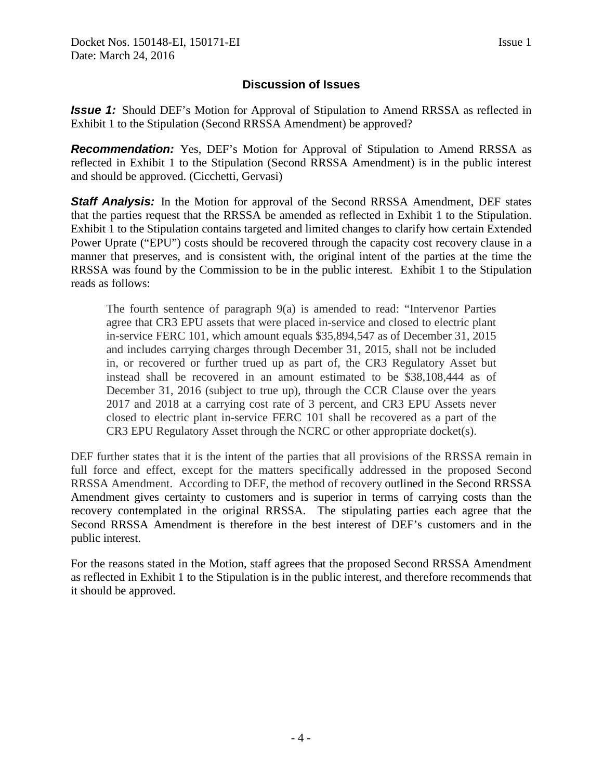# **Discussion of Issues**

*Issue 1:* Should DEF's Motion for Approval of Stipulation to Amend RRSSA as reflected in Exhibit 1 to the Stipulation (Second RRSSA Amendment) be approved?

*Recommendation:* Yes, DEF's Motion for Approval of Stipulation to Amend RRSSA as reflected in Exhibit 1 to the Stipulation (Second RRSSA Amendment) is in the public interest and should be approved. (Cicchetti, Gervasi)

**Staff Analysis:** In the Motion for approval of the Second RRSSA Amendment, DEF states that the parties request that the RRSSA be amended as reflected in Exhibit 1 to the Stipulation. Exhibit 1 to the Stipulation contains targeted and limited changes to clarify how certain Extended Power Uprate ("EPU") costs should be recovered through the capacity cost recovery clause in a manner that preserves, and is consistent with, the original intent of the parties at the time the RRSSA was found by the Commission to be in the public interest. Exhibit 1 to the Stipulation reads as follows:

The fourth sentence of paragraph 9(a) is amended to read: "Intervenor Parties agree that CR3 EPU assets that were placed in-service and closed to electric plant in-service FERC 101, which amount equals \$35,894,547 as of December 31, 2015 and includes carrying charges through December 31, 2015, shall not be included in, or recovered or further trued up as part of, the CR3 Regulatory Asset but instead shall be recovered in an amount estimated to be \$38,108,444 as of December 31, 2016 (subject to true up), through the CCR Clause over the years 2017 and 2018 at a carrying cost rate of 3 percent, and CR3 EPU Assets never closed to electric plant in-service FERC 101 shall be recovered as a part of the CR3 EPU Regulatory Asset through the NCRC or other appropriate docket(s).

DEF further states that it is the intent of the parties that all provisions of the RRSSA remain in full force and effect, except for the matters specifically addressed in the proposed Second RRSSA Amendment. According to DEF, the method of recovery outlined in the Second RRSSA Amendment gives certainty to customers and is superior in terms of carrying costs than the recovery contemplated in the original RRSSA. The stipulating parties each agree that the Second RRSSA Amendment is therefore in the best interest of DEF's customers and in the public interest.

For the reasons stated in the Motion, staff agrees that the proposed Second RRSSA Amendment as reflected in Exhibit 1 to the Stipulation is in the public interest, and therefore recommends that it should be approved.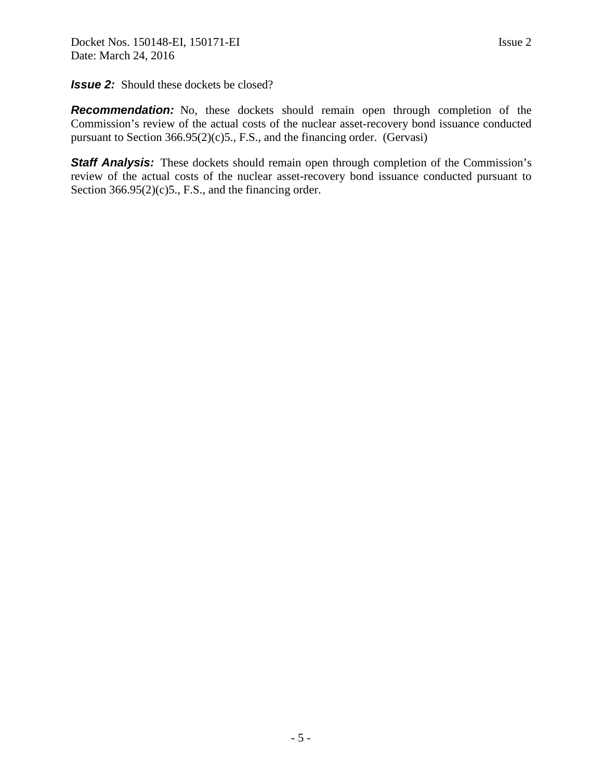#### **Issue 2:** Should these dockets be closed?

**Recommendation:** No, these dockets should remain open through completion of the Commission's review of the actual costs of the nuclear asset-recovery bond issuance conducted pursuant to Section 366.95(2)(c)5., F.S., and the financing order. (Gervasi)

**Staff Analysis:** These dockets should remain open through completion of the Commission's review of the actual costs of the nuclear asset-recovery bond issuance conducted pursuant to Section  $366.95(2)(c)5$ ., F.S., and the financing order.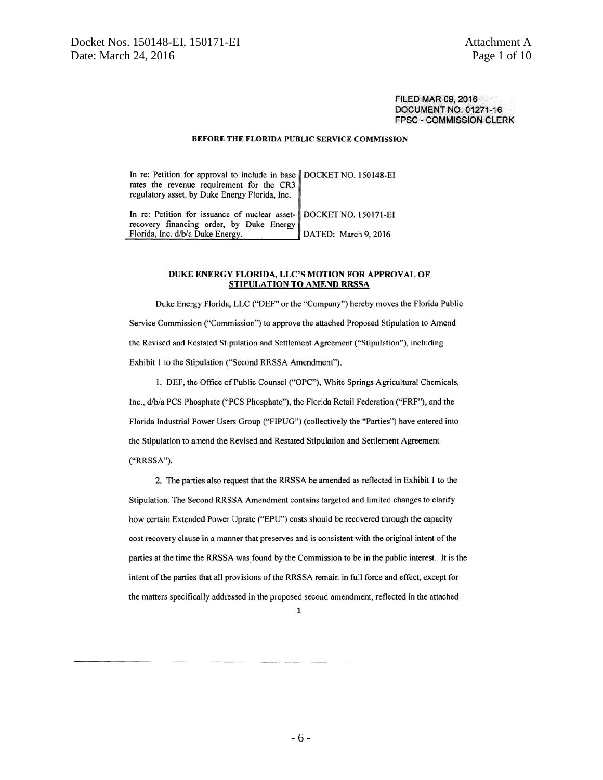**FILED MAR 09, 2016** DOCUMENT NO. 01271-16 **FPSC - COMMISSION CLERK** 

#### BEFORE THE FLORIDA PUBLIC SERVICE COMMISSION

In re: Petition for approval to include in base DOCKET NO. 150148-EI rates the revenue requirement for the CR3 regulatory asset, by Duke Energy Florida, Inc.

In re: Petition for issuance of nuclear asset-**DOCKET NO. 150171-EI** recovery financing order, by Duke Energy Florida, Inc. d/b/a Duke Energy. DATED: March 9, 2016

#### DUKE ENERGY FLORIDA, LLC'S MOTION FOR APPROVAL OF STIPULATION TO AMEND RRSSA

Duke Energy Florida, LLC ("DEF" or the "Company") hereby moves the Florida Public Service Commission ("Commission") to approve the attached Proposed Stipulation to Amend the Revised and Restated Stipulation and Settlement Agreement ("Stipulation"), including Exhibit 1 to the Stipulation ("Second RRSSA Amendment").

1. DEF, the Office of Public Counsel ("OPC"), White Springs Agricultural Chemicals, Inc., d/b/a PCS Phosphate ("PCS Phosphate"), the Florida Retail Federation ("FRF"), and the Florida Industrial Power Users Group ("FIPUG") (collectively the "Parties") have entered into the Stipulation to amend the Revised and Restated Stipulation and Settlement Agreement ("RRSSA").

2. The parties also request that the RRSSA be amended as reflected in Exhibit 1 to the Stipulation. The Second RRSSA Amendment contains targeted and limited changes to clarify how certain Extended Power Uprate ("EPU") costs should be recovered through the capacity cost recovery clause in a manner that preserves and is consistent with the original intent of the parties at the time the RRSSA was found by the Commission to be in the public interest. It is the intent of the parties that all provisions of the RRSSA remain in full force and effect, except for the matters specifically addressed in the proposed second amendment, reflected in the attached

 $\mathbf{1}$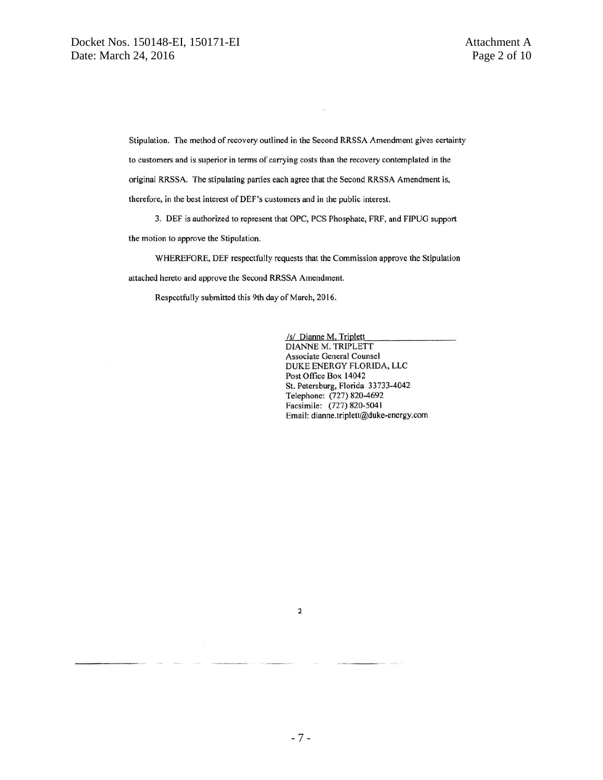Stipulation. The method of recovery outlined in the Second RRSSA Amendment gives certainty to customers and is superior in terms of carrying costs than the recovery contemplated in the original RRSSA. The stipulating parties each agree that the Second RRSSA Amendment is, therefore, in the best interest of DEF's customers and in the public interest.

3. DEF is authorized to represent that OPC, PCS Phosphate, FRF, and FIPUG support the motion to approve the Stipulation.

WHEREFORE, DEF respectfully requests that the Commission approve the Stipulation attached hereto and approve the Second RRSSA Amendment.

Respectfully submitted this 9th day of March, 2016.

/s/ Dianne M. Triplett DIANNE M. TRIPLETT Associate General Counsel DUKE ENERGY FLORIDA, LLC Post Office Box 14042 St. Petersburg, Florida 33733-4042 Telephone: (727) 820-4692<br>Facsimile: (727) 820-5041 Email: dianne.triplett@duke-energy.com

 $\mathbf 2$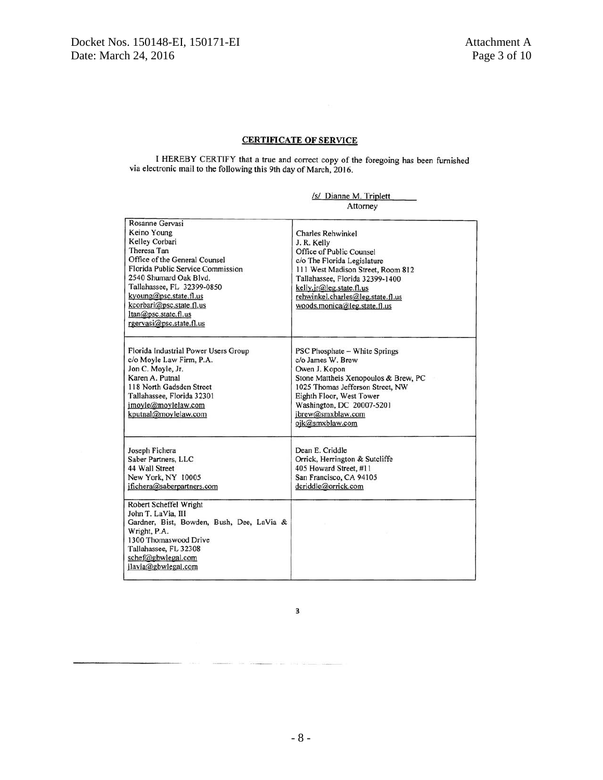#### **CERTIFICATE OF SERVICE**

I HEREBY CERTIFY that a true and correct copy of the foregoing has been furnished via electronic mail to the following this 9th day of March, 2016.

|  | /s/ Dianne M. Triplett |
|--|------------------------|
|  | Attorney               |

| Rosanne Gervasi<br>Keino Young<br>Kelley Corbari<br>Theresa Tan<br>Office of the General Counsel<br>Florida Public Service Commission<br>2540 Shumard Oak Blvd.<br>Tallahassee, FL 32399-0850<br>kyoung@psc.state.fl.us<br>kcorbar@psc.state.fl.us<br>$ltan(\alpha)$ psc.state.fl.us<br>rgervasi@psc.state.fl.us | Charles Rehwinkel<br>J. R. Kelly<br>Office of Public Counsel<br>c/o The Florida Legislature<br>111 West Madison Street, Room 812<br>Tallahassee, Florida 32399-1400<br>kelly.jr@leg.state.fl.us<br>rehwinkel.charles@leg.state.fl.us<br>woods.monica@leg.state.fl.us |  |
|------------------------------------------------------------------------------------------------------------------------------------------------------------------------------------------------------------------------------------------------------------------------------------------------------------------|----------------------------------------------------------------------------------------------------------------------------------------------------------------------------------------------------------------------------------------------------------------------|--|
| Florida Industrial Power Users Group<br>c/o Moyle Law Firm, P.A.<br>Jon C. Moyle, Jr.<br>Karen A. Putnal<br>118 North Gadsden Street<br>Tallahassee, Florida 32301<br>imoyle@moylelaw.com<br>kputnal@moylelaw.com                                                                                                | PSC Phosphate – White Springs<br>c/o James W. Brew<br>Owen J. Kopon<br>Stone Mattheis Xenopoulos & Brew, PC<br>1025 Thomas Jefferson Street, NW<br>Eighth Floor, West Tower<br>Washington, DC 20007-5201<br>jbrew@smxblaw.com<br>ojk@smxblaw.com                     |  |
| Joseph Fichera<br>Saber Partners, LLC<br>44 Wall Street<br>New York, NY 10005<br>ifichera@saberpartners.com                                                                                                                                                                                                      | Dean E. Criddle<br>Orrick, Herrington & Sutcliffe<br>405 Howard Street, #11<br>San Francisco, CA 94105<br>dcriddle@orrick.com                                                                                                                                        |  |
| Robert Scheffel Wright<br>John T. LaVia, III<br>Gardner, Bist, Bowden, Bush, Dee, LaVia &<br>Wright, P.A.<br>1300 Thomaswood Drive<br>Tallahassee, FL 32308<br>schef@gbwlegal.com<br>jlavia@gbwlegal.com                                                                                                         |                                                                                                                                                                                                                                                                      |  |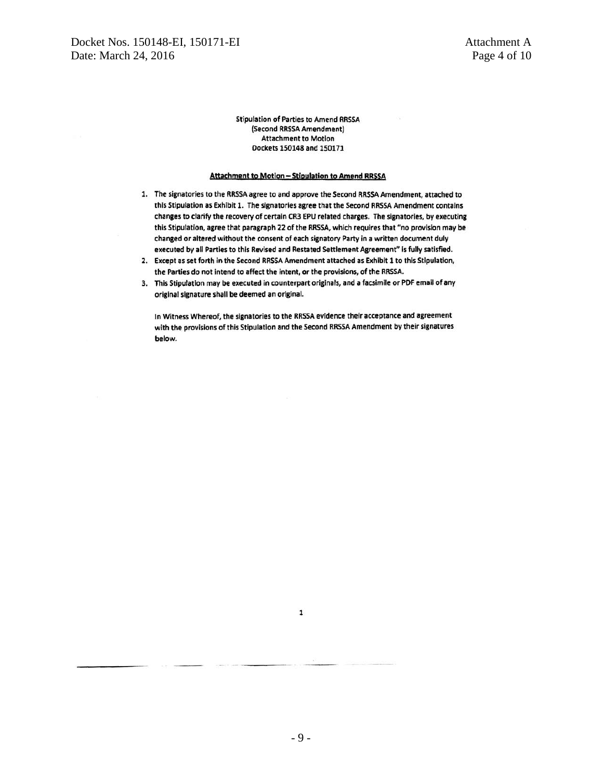#### Attachment to Motion - Stipulation to Amend RRSSA

- 1. The signatories to the RRSSA agree to and approve the Second RRSSA Amendment, attached to this Stipulation as Exhibit 1. The signatories agree that the Second RRSSA Amendment contains changes to clarify the recovery of certain CR3 EPU related charges. The signatories, by executing this Stipulation, agree that paragraph 22 of the RRSSA, which requires that "no provision may be changed or altered without the consent of each signatory Party in a written document duly executed by all Parties to this Revised and Restated Settlement Agreement" is fully satisfied.
- 2. Except as set forth in the Second RRSSA Amendment attached as Exhibit 1 to this Stipulation, the Parties do not intend to affect the intent, or the provisions, of the RRSSA.
- 3. This Stipulation may be executed in counterpart originals, and a facsimile or PDF email of any original signature shall be deemed an original.

In Witness Whereof, the signatories to the RRSSA evidence their acceptance and agreement with the provisions of this Stipulation and the Second RRSSA Amendment by their signatures below.

 $\mathbf{1}$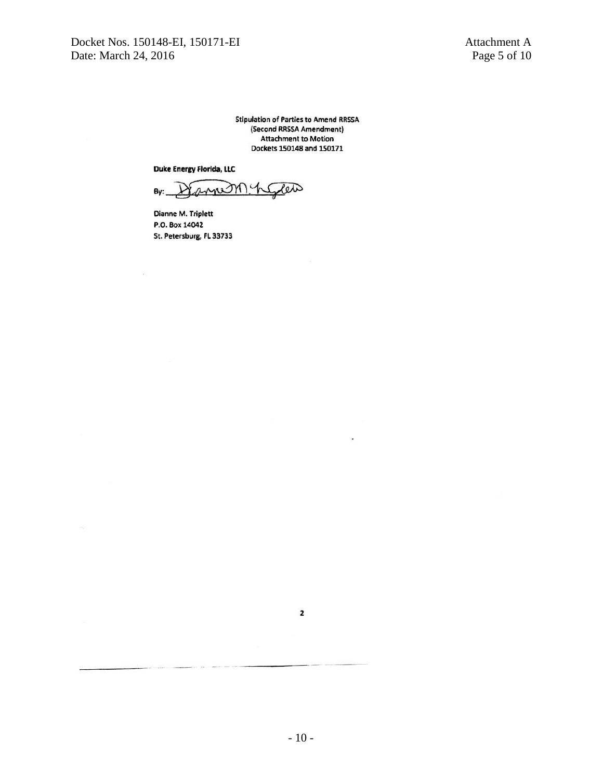Docket Nos. 150148-EI, 150171-EI<br>Date: March 24, 2016 Page 5 of 10 Date: March 24, 2016

 $\bar{\nu}$ 

**Stipulation of Parties to Amend RRSSA** (Second RRSSA Amendment) **Attachment to Motion** Dockets 150148 and 150171

Duke Energy Florida, LLC

month Pete By:

Dianne M. Triplett P.O. Box 14042 St. Petersburg, FL 33733

ä,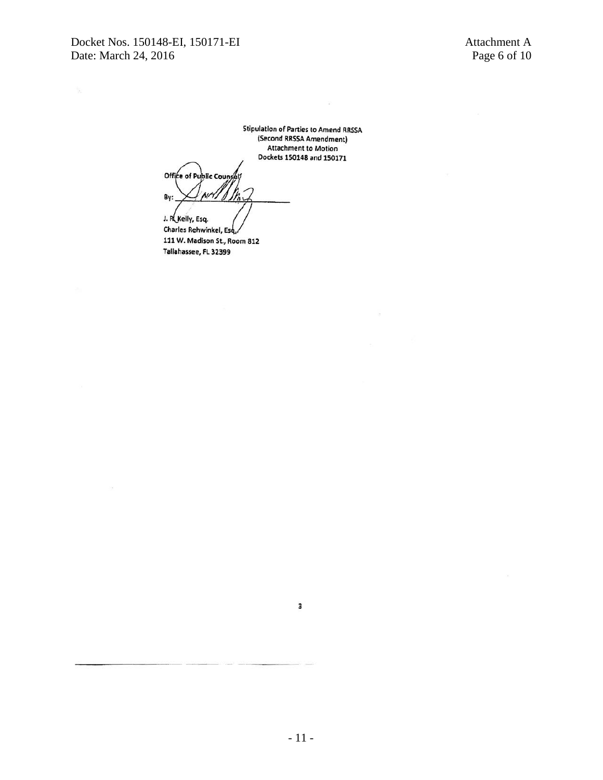$\ddot{x}$ 

Office of Public Counsel By:

J. R. Kelly, Esq. Charles Rehwinkel, Esq. 111 W. Madison St., Room 812 Tallahassee, FL 32399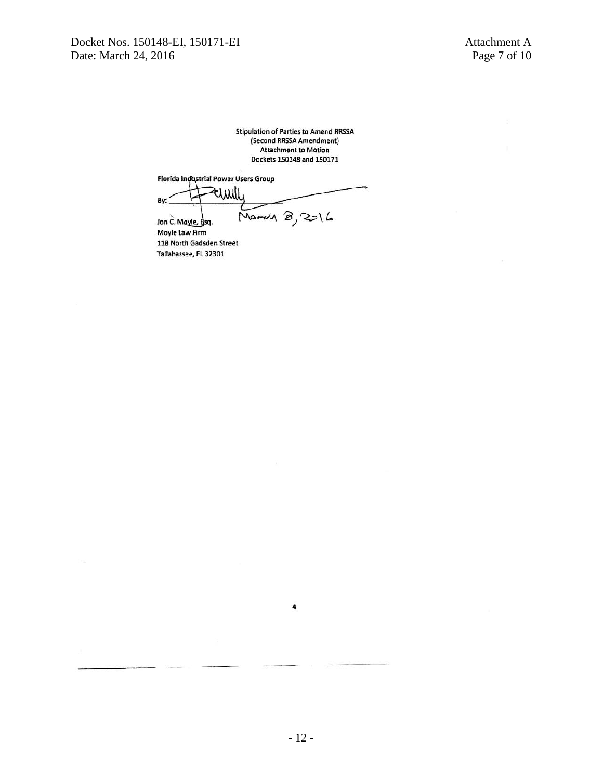Florida Industrial Power Users Group

tiwil By: March 8, 2016

Jon C. Mayle, Bsq. Moyle Law Firm 118 North Gadsden Street Tallahassee, FL 32301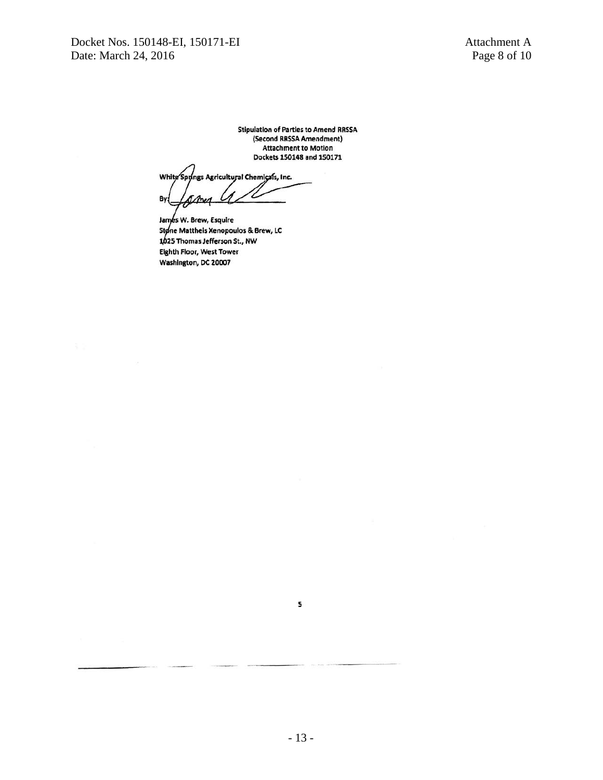White Spyings Agricultural Chemicals, Inc. Lamy By:

James W. Brew, Esquire Stone Mattheis Xenopoulos & Brew, LC 1025 Thomas Jefferson St., NW Eighth Floor, West Tower Washington, DC 20007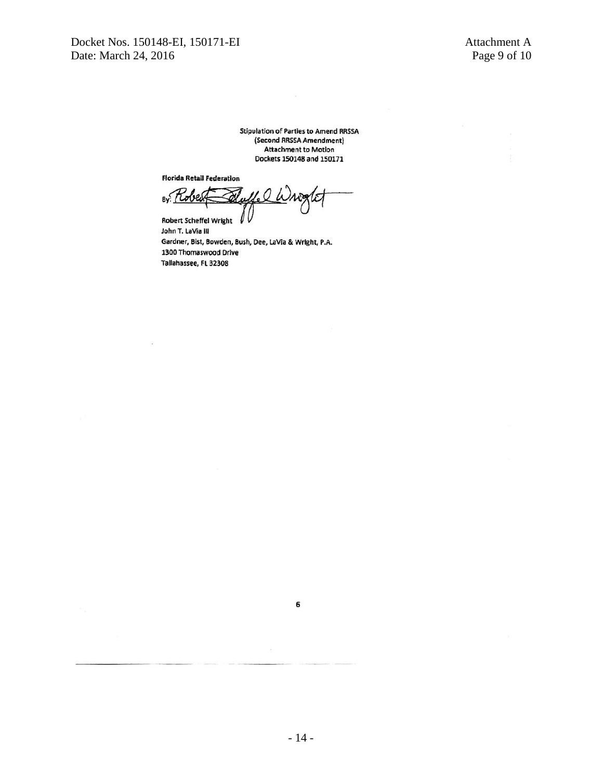**Florida Retail Federation** 

l.Q  $By:$ 

I **Robert Scheffel Wright** John T. LaVia III Gardner, Bist, Bowden, Bush, Dee, LaVia & Wright, P.A. 1300 Thomaswood Drive Tallahassee, FL 32308